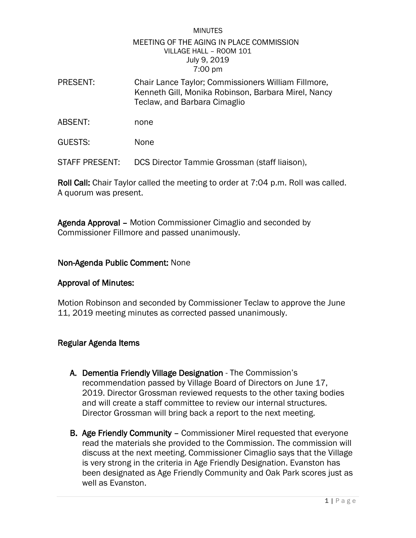## MINUTES MEETING OF THE AGING IN PLACE COMMISSION VILLAGE HALL – ROOM 101 July 9, 2019 7:00 pm

- PRESENT: Chair Lance Taylor; Commissioners William Fillmore, Kenneth Gill, Monika Robinson, Barbara Mirel, Nancy Teclaw, and Barbara Cimaglio
- ABSENT: none
- GUESTS: None

STAFF PRESENT: DCS Director Tammie Grossman (staff liaison),

Roll Call: Chair Taylor called the meeting to order at 7:04 p.m. Roll was called. A quorum was present.

Agenda Approval – Motion Commissioner Cimaglio and seconded by Commissioner Fillmore and passed unanimously.

## Non-Agenda Public Comment: None

## Approval of Minutes:

Motion Robinson and seconded by Commissioner Teclaw to approve the June 11, 2019 meeting minutes as corrected passed unanimously.

# Regular Agenda Items

- A. Dementia Friendly Village Designation The Commission's recommendation passed by Village Board of Directors on June 17, 2019. Director Grossman reviewed requests to the other taxing bodies and will create a staff committee to review our internal structures. Director Grossman will bring back a report to the next meeting.
- B. Age Friendly Community Commissioner Mirel requested that everyone read the materials she provided to the Commission. The commission will discuss at the next meeting. Commissioner Cimaglio says that the Village is very strong in the criteria in Age Friendly Designation. Evanston has been designated as Age Friendly Community and Oak Park scores just as well as Evanston.